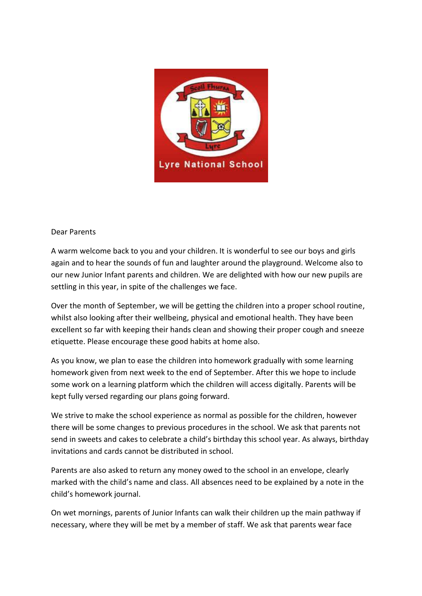

## Dear Parents

A warm welcome back to you and your children. It is wonderful to see our boys and girls again and to hear the sounds of fun and laughter around the playground. Welcome also to our new Junior Infant parents and children. We are delighted with how our new pupils are settling in this year, in spite of the challenges we face.

Over the month of September, we will be getting the children into a proper school routine, whilst also looking after their wellbeing, physical and emotional health. They have been excellent so far with keeping their hands clean and showing their proper cough and sneeze etiquette. Please encourage these good habits at home also.

As you know, we plan to ease the children into homework gradually with some learning homework given from next week to the end of September. After this we hope to include some work on a learning platform which the children will access digitally. Parents will be kept fully versed regarding our plans going forward.

We strive to make the school experience as normal as possible for the children, however there will be some changes to previous procedures in the school. We ask that parents not send in sweets and cakes to celebrate a child's birthday this school year. As always, birthday invitations and cards cannot be distributed in school.

Parents are also asked to return any money owed to the school in an envelope, clearly marked with the child's name and class. All absences need to be explained by a note in the child's homework journal.

On wet mornings, parents of Junior Infants can walk their children up the main pathway if necessary, where they will be met by a member of staff. We ask that parents wear face